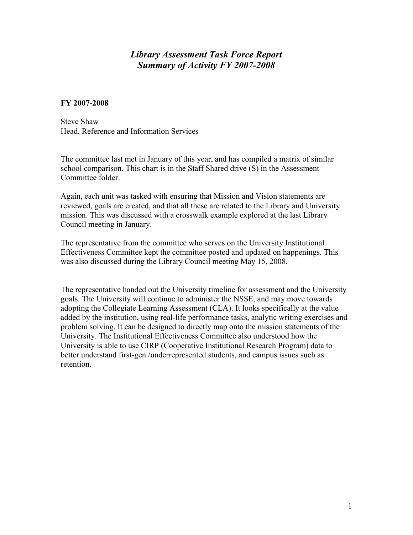## *Library Assessment Task Force Report Summary of Activity FY 2007-2008*

#### **FY 2007-2008**

Steve Shaw Head, Reference and Information Services

The committee last met in January of this year, and has compiled a matrix of similar school comparison. This chart is in the Staff Shared drive (S) in the Assessment Committee folder.

Again, each unit was tasked with ensuring that Mission and Vision statements are reviewed, goals are created, and that all these are related to the Library and University mission. This was discussed with a crosswalk example explored at the last Library Council meeting in January.

The representative from the committee who serves on the University Institutional Effectiveness Committee kept the committee posted and updated on happenings. This was also discussed during the Library Council meeting May 15, 2008.

The representative handed out the University timeline for assessment and the University goals. The University will continue to administer the NSSE, and may move towards adopting the Collegiate Learning Assessment (CLA). It looks specifically at the value added by the institution, using real-life performance tasks, analytic writing exercises and problem solving. It can be designed to directly map onto the mission statements of the University. The Institutional Effectiveness Committee also understood how the University is able to use CIRP (Cooperative Institutional Research Program) data to better understand first-gen /underrepresented students, and campus issues such as retention.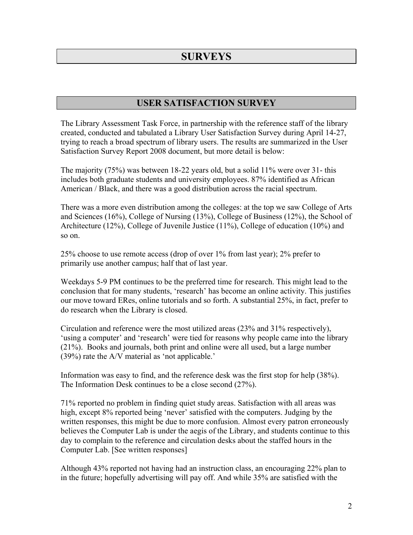# **SURVEYS**

## **USER SATISFACTION SURVEY**

The Library Assessment Task Force, in partnership with the reference staff of the library created, conducted and tabulated a Library User Satisfaction Survey during April 14-27, trying to reach a broad spectrum of library users. The results are summarized in the User Satisfaction Survey Report 2008 document, but more detail is below:

The majority (75%) was between 18-22 years old, but a solid 11% were over 31- this includes both graduate students and university employees. 87% identified as African American / Black, and there was a good distribution across the racial spectrum.

There was a more even distribution among the colleges: at the top we saw College of Arts and Sciences (16%), College of Nursing (13%), College of Business (12%), the School of Architecture (12%), College of Juvenile Justice (11%), College of education (10%) and so on.

25% choose to use remote access (drop of over 1% from last year); 2% prefer to primarily use another campus; half that of last year.

Weekdays 5-9 PM continues to be the preferred time for research. This might lead to the conclusion that for many students, 'research' has become an online activity. This justifies our move toward ERes, online tutorials and so forth. A substantial 25%, in fact, prefer to do research when the Library is closed.

Circulation and reference were the most utilized areas (23% and 31% respectively), 'using a computer' and 'research' were tied for reasons why people came into the library (21%). Books and journals, both print and online were all used, but a large number (39%) rate the A/V material as 'not applicable.'

Information was easy to find, and the reference desk was the first stop for help (38%). The Information Desk continues to be a close second (27%).

71% reported no problem in finding quiet study areas. Satisfaction with all areas was high, except 8% reported being 'never' satisfied with the computers. Judging by the written responses, this might be due to more confusion. Almost every patron erroneously believes the Computer Lab is under the aegis of the Library, and students continue to this day to complain to the reference and circulation desks about the staffed hours in the Computer Lab. [See written responses]

Although 43% reported not having had an instruction class, an encouraging 22% plan to in the future; hopefully advertising will pay off. And while 35% are satisfied with the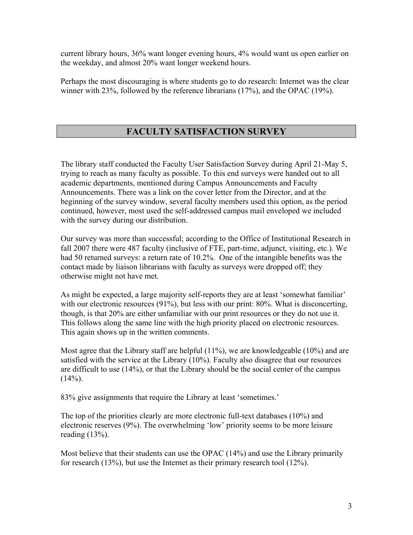current library hours, 36% want longer evening hours, 4% would want us open earlier on the weekday, and almost 20% want longer weekend hours.

Perhaps the most discouraging is where students go to do research: Internet was the clear winner with 23%, followed by the reference librarians (17%), and the OPAC (19%).

### **FACULTY SATISFACTION SURVEY**

The library staff conducted the Faculty User Satisfaction Survey during April 21-May 5, trying to reach as many faculty as possible. To this end surveys were handed out to all academic departments, mentioned during Campus Announcements and Faculty Announcements. There was a link on the cover letter from the Director, and at the beginning of the survey window, several faculty members used this option, as the period continued, however, most used the self-addressed campus mail enveloped we included with the survey during our distribution.

Our survey was more than successful; according to the Office of Institutional Research in fall 2007 there were 487 faculty (inclusive of FTE, part-time, adjunct, visiting, etc.). We had 50 returned surveys: a return rate of 10.2%. One of the intangible benefits was the contact made by liaison librarians with faculty as surveys were dropped off; they otherwise might not have met.

As might be expected, a large majority self-reports they are at least 'somewhat familiar' with our electronic resources (91%), but less with our print: 80%. What is disconcerting, though, is that 20% are either unfamiliar with our print resources or they do not use it. This follows along the same line with the high priority placed on electronic resources. This again shows up in the written comments.

Most agree that the Library staff are helpful (11%), we are knowledgeable (10%) and are satisfied with the service at the Library (10%). Faculty also disagree that our resources are difficult to use (14%), or that the Library should be the social center of the campus  $(14\%)$ .

83% give assignments that require the Library at least 'sometimes.'

The top of the priorities clearly are more electronic full-text databases (10%) and electronic reserves (9%). The overwhelming 'low' priority seems to be more leisure reading (13%).

Most believe that their students can use the OPAC (14%) and use the Library primarily for research (13%), but use the Internet as their primary research tool (12%).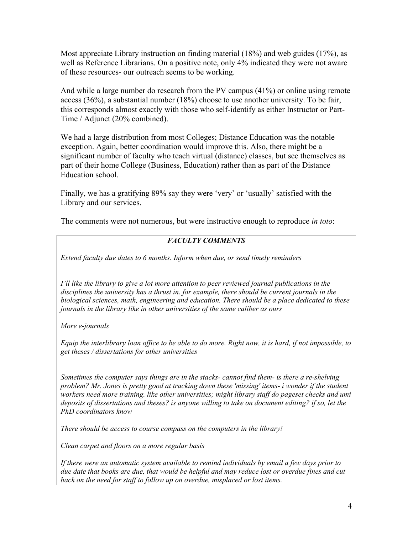Most appreciate Library instruction on finding material (18%) and web guides (17%), as well as Reference Librarians. On a positive note, only 4% indicated they were not aware of these resources- our outreach seems to be working.

And while a large number do research from the PV campus (41%) or online using remote access (36%), a substantial number (18%) choose to use another university. To be fair, this corresponds almost exactly with those who self-identify as either Instructor or Part-Time / Adjunct (20% combined).

We had a large distribution from most Colleges; Distance Education was the notable exception. Again, better coordination would improve this. Also, there might be a significant number of faculty who teach virtual (distance) classes, but see themselves as part of their home College (Business, Education) rather than as part of the Distance Education school.

Finally, we has a gratifying 89% say they were 'very' or 'usually' satisfied with the Library and our services.

The comments were not numerous, but were instructive enough to reproduce *in toto*:

### *FACULTY COMMENTS*

*Extend faculty due dates to 6 months. Inform when due, or send timely reminders* 

*I'll like the library to give a lot more attention to peer reviewed journal publications in the disciplines the university has a thrust in. for example, there should be current journals in the biological sciences, math, engineering and education. There should be a place dedicated to these journals in the library like in other universities of the same caliber as ours* 

*More e-journals* 

*Equip the interlibrary loan office to be able to do more. Right now, it is hard, if not impossible, to get theses / dissertations for other universities* 

*Sometimes the computer says things are in the stacks- cannot find them- is there a re-shelving problem? Mr. Jones is pretty good at tracking down these 'missing' items- i wonder if the student workers need more training. like other universities; might library staff do pageset checks and umi deposits of dissertations and theses? is anyone willing to take on document editing? if so, let the PhD coordinators know* 

*There should be access to course compass on the computers in the library!* 

*Clean carpet and floors on a more regular basis* 

*If there were an automatic system available to remind individuals by email a few days prior to due date that books are due, that would be helpful and may reduce lost or overdue fines and cut back on the need for staff to follow up on overdue, misplaced or lost items.*